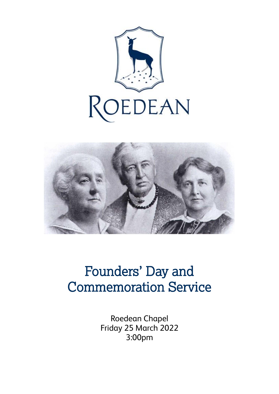



# Founders' Day and Commemoration Service

Roedean Chapel Friday 25 March 2022 3:00pm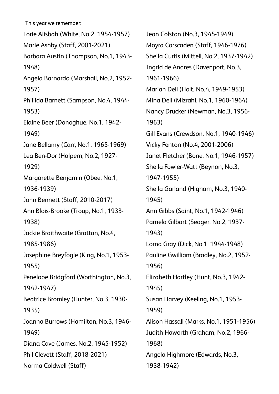This year we remember: Lorie Alisbah (White, No.2, 1954-1957) Marie Ashby (Staff, 2001-2021) Barbara Austin (Thompson, No.1, 1943- 1948) Angela Barnardo (Marshall, No.2, 1952- 1957) Phillida Barnett (Sampson, No.4, 1944- 1953) Elaine Beer (Donoghue, No.1, 1942- 1949) Jane Bellamy (Carr, No.1, 1965-1969) Lea Ben-Dor (Halpern, No.2, 1927- 1929) Margarette Benjamin (Obee, No.1, 1936-1939) John Bennett (Staff, 2010-2017) Ann Blois-Brooke (Troup, No.1, 1933- 1938) Jackie Braithwaite (Grattan, No.4, 1985-1986) Josephine Breyfogle (King, No.1, 1953- 1955) Penelope Bridgford (Worthington, No.3, 1942-1947) Beatrice Bromley (Hunter, No.3, 1930- 1935) Joanna Burrows (Hamilton, No.3, 1946- 1949) Diana Cave (James, No.2, 1945-1952) Phil Clevett (Staff, 2018-2021) Norma Coldwell (Staff)

Jean Colston (No.3, 1945-1949) Moyra Corscaden (Staff, 1946-1976) Sheila Curtis (Mittell, No.2, 1937-1942) Ingrid de Andres (Davenport, No.3, 1961-1966) Marian Dell (Holt, No.4, 1949-1953) Mina Dell (Mizrahi, No.1, 1960-1964) Nancy Drucker (Newman, No.3, 1956- 1963) Gill Evans (Crewdson, No.1, 1940-1946) Vicky Fenton (No.4, 2001-2006) Janet Fletcher (Bone, No.1, 1946-1957) Sheila Fowler-Watt (Beynon, No.3, 1947-1955) Sheila Garland (Higham, No.3, 1940- 1945) Ann Gibbs (Saint, No.1, 1942-1946) Pamela Gilbart (Seager, No.2, 1937- 1943) Lorna Gray (Dick, No.1, 1944-1948) Pauline Gwilliam (Bradley, No.2, 1952- 1956) Elizabeth Hartley (Hunt, No.3, 1942- 1945) Susan Harvey (Keeling, No.1, 1953- 1959) Alison Hassall (Marks, No.1, 1951-1956) Judith Haworth (Graham, No.2, 1966- 1968) Angela Highmore (Edwards, No.3, 1938-1942)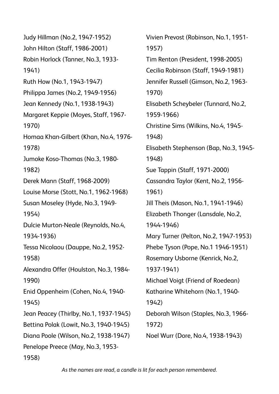Judy Hillman (No.2, 1947-1952) John Hilton (Staff, 1986-2001) Robin Horlock (Tanner, No.3, 1933- 1941) Ruth How (No.1, 1943-1947) Philippa James (No.2, 1949-1956) Jean Kennedy (No.1, 1938-1943) Margaret Keppie (Moyes, Staff, 1967- 1970) Homaa Khan-Gilbert (Khan, No.4, 1976- 1978) Jumoke Koso-Thomas (No.3, 1980- 1982) Derek Mann (Staff, 1968-2009) Louise Morse (Stott, No.1, 1962-1968) Susan Moseley (Hyde, No.3, 1949- 1954) Dulcie Murton-Neale (Reynolds, No.4, 1934-1936) Tessa Nicolaou (Dauppe, No.2, 1952- 1958) Alexandra Offer (Houlston, No.3, 1984- 1990) Enid Oppenheim (Cohen, No.4, 1940- 1945) Jean Peacey (Thirlby, No.1, 1937-1945) Bettina Polak (Lowit, No.3, 1940-1945) Diana Poole (Wilson, No.2, 1938-1947) Penelope Preece (May, No.3, 1953- 1958)

Vivien Prevost (Robinson, No.1, 1951- 1957) Tim Renton (President, 1998-2005) Cecilia Robinson (Staff, 1949-1981) Jennifer Russell (Gimson, No.2, 1963- 1970) Elisabeth Scheybeler (Tunnard, No.2, 1959-1966) Christine Sims (Wilkins, No.4, 1945- 1948) Elisabeth Stephenson (Bap, No.3, 1945- 1948) Sue Tappin (Staff, 1971-2000) Cassandra Taylor (Kent, No.2, 1956- 1961) Jill Theis (Mason, No.1, 1941-1946) Elizabeth Thonger (Lansdale, No.2, 1944-1946) Mary Turner (Pelton, No.2, 1947-1953) Phebe Tyson (Pope, No.1 1946-1951) Rosemary Usborne (Kenrick, No.2, 1937-1941) Michael Voigt (Friend of Roedean) Katharine Whitehorn (No.1, 1940- 1942) Deborah Wilson (Staples, No.3, 1966- 1972) Noel Wurr (Dore, No.4, 1938-1943)

*As the names are read, a candle is lit for each person remembered.*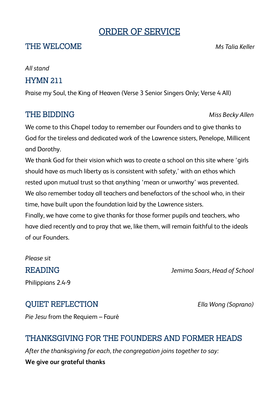# ORDER OF SERVICE

### THE WELCOME *Ms Talia Keller*

*All stand*

### HYMN 211

Praise my Soul, the King of Heaven (Verse 3 Senior Singers Only; Verse 4 All)

### THE BIDDING *Miss Becky Allen*

We come to this Chapel today to remember our Founders and to give thanks to God for the tireless and dedicated work of the Lawrence sisters, Penelope, Millicent and Dorothy.

We thank God for their vision which was to create a school on this site where 'girls should have as much liberty as is consistent with safety,' with an ethos which rested upon mutual trust so that anything 'mean or unworthy' was prevented. We also remember today all teachers and benefactors of the school who, in their time, have built upon the foundation laid by the Lawrence sisters. Finally, we have come to give thanks for those former pupils and teachers, who have died recently and to pray that we, like them, will remain faithful to the ideals of our Founders.

*Please sit*

# READING *Jemima Soars, Head of School*

Philippians 2.4-9

QUIET REFLECTION *Ella Wong (Soprano)*

*Pie Jesu* from the Requiem – Fauré

# THANKSGIVING FOR THE FOUNDERS AND FORMER HEADS

*After the thanksgiving for each, the congregation joins together to say:* **We give our grateful thanks**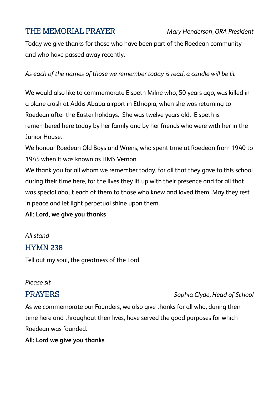# THE MEMORIAL PRAYER *Mary Henderson, ORA President*

Today we give thanks for those who have been part of the Roedean community and who have passed away recently.

*As each of the names of those we remember today is read, a candle will be lit*

We would also like to commemorate Elspeth Milne who, 50 years ago, was killed in a plane crash at Addis Ababa airport in Ethiopia, when she was returning to Roedean after the Easter holidays. She was twelve years old. Elspeth is remembered here today by her family and by her friends who were with her in the Junior House.

We honour Roedean Old Boys and Wrens, who spent time at Roedean from 1940 to 1945 when it was known as HMS Vernon.

We thank you for all whom we remember today, for all that they gave to this school during their time here, for the lives they lit up with their presence and for all that was special about each of them to those who knew and loved them. May they rest in peace and let light perpetual shine upon them.

**All: Lord, we give you thanks** 

### *All stand*

# HYMN 238

Tell out my soul, the greatness of the Lord

### *Please sit*

### PRAYERS *Sophia Clyde, Head of School*

As we commemorate our Founders, we also give thanks for all who, during their time here and throughout their lives, have served the good purposes for which Roedean was founded.

### **All: Lord we give you thanks**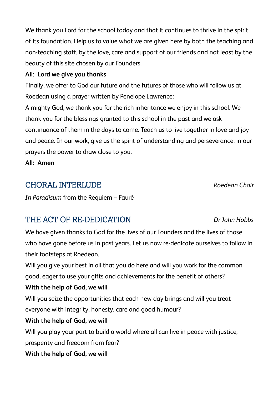We thank you Lord for the school today and that it continues to thrive in the spirit of its foundation. Help us to value what we are given here by both the teaching and non-teaching staff, by the love, care and support of our friends and not least by the beauty of this site chosen by our Founders.

#### **All: Lord we give you thanks**

Finally, we offer to God our future and the futures of those who will follow us at Roedean using a prayer written by Penelope Lawrence:

Almighty God, we thank you for the rich inheritance we enjoy in this school. We thank you for the blessings granted to this school in the past and we ask continuance of them in the days to come. Teach us to live together in love and joy and peace. In our work, give us the spirit of understanding and perseverance; in our prayers the power to draw close to you.

**All: Amen**

## CHORAL INTERLUDE *Roedean Choir*

*In Paradisum* from the Requiem – Fauré

# THE ACT OF RE-DEDICATION *Dr John Hobbs*

We have given thanks to God for the lives of our Founders and the lives of those who have gone before us in past years. Let us now re-dedicate ourselves to follow in their footsteps at Roedean.

Will you give your best in all that you do here and will you work for the common good, eager to use your gifts and achievements for the benefit of others?

### **With the help of God, we will**

Will you seize the opportunities that each new day brings and will you treat everyone with integrity, honesty, care and good humour?

### **With the help of God, we will**

Will you play your part to build a world where all can live in peace with justice, prosperity and freedom from fear?

**With the help of God, we will**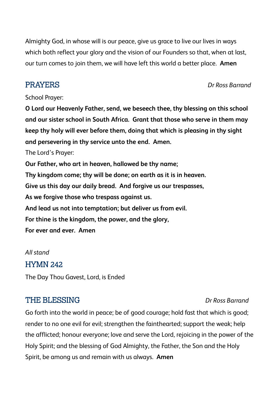Almighty God, in whose will is our peace, give us grace to live our lives in ways which both reflect your glory and the vision of our Founders so that, when at last, our turn comes to join them, we will have left this world a better place. **Amen**

PRAYERS *Dr Ross Barrand*

#### School Prayer:

**O Lord our Heavenly Father, send, we beseech thee, thy blessing on this school and our sister school in South Africa. Grant that those who serve in them may keep thy holy will ever before them, doing that which is pleasing in thy sight and persevering in thy service unto the end. Amen.** The Lord's Prayer:

**Our Father, who art in heaven, hallowed be thy name;**

**Thy kingdom come; thy will be done; on earth as it is in heaven.**

**Give us this day our daily bread. And forgive us our trespasses,**

**As we forgive those who trespass against us.**

**And lead us not into temptation; but deliver us from evil.**

**For thine is the kingdom, the power, and the glory,**

**For ever and ever. Amen**

*All stand* HYMN 242 The Day Thou Gavest, Lord, is Ended

# THE BLESSING*Dr Ross Barrand*

Go forth into the world in peace; be of good courage; hold fast that which is good; render to no one evil for evil; strengthen the fainthearted; support the weak; help the afflicted; honour everyone; love and serve the Lord, rejoicing in the power of the Holy Spirit; and the blessing of God Almighty, the Father, the Son and the Holy Spirit, be among us and remain with us always. **Amen**